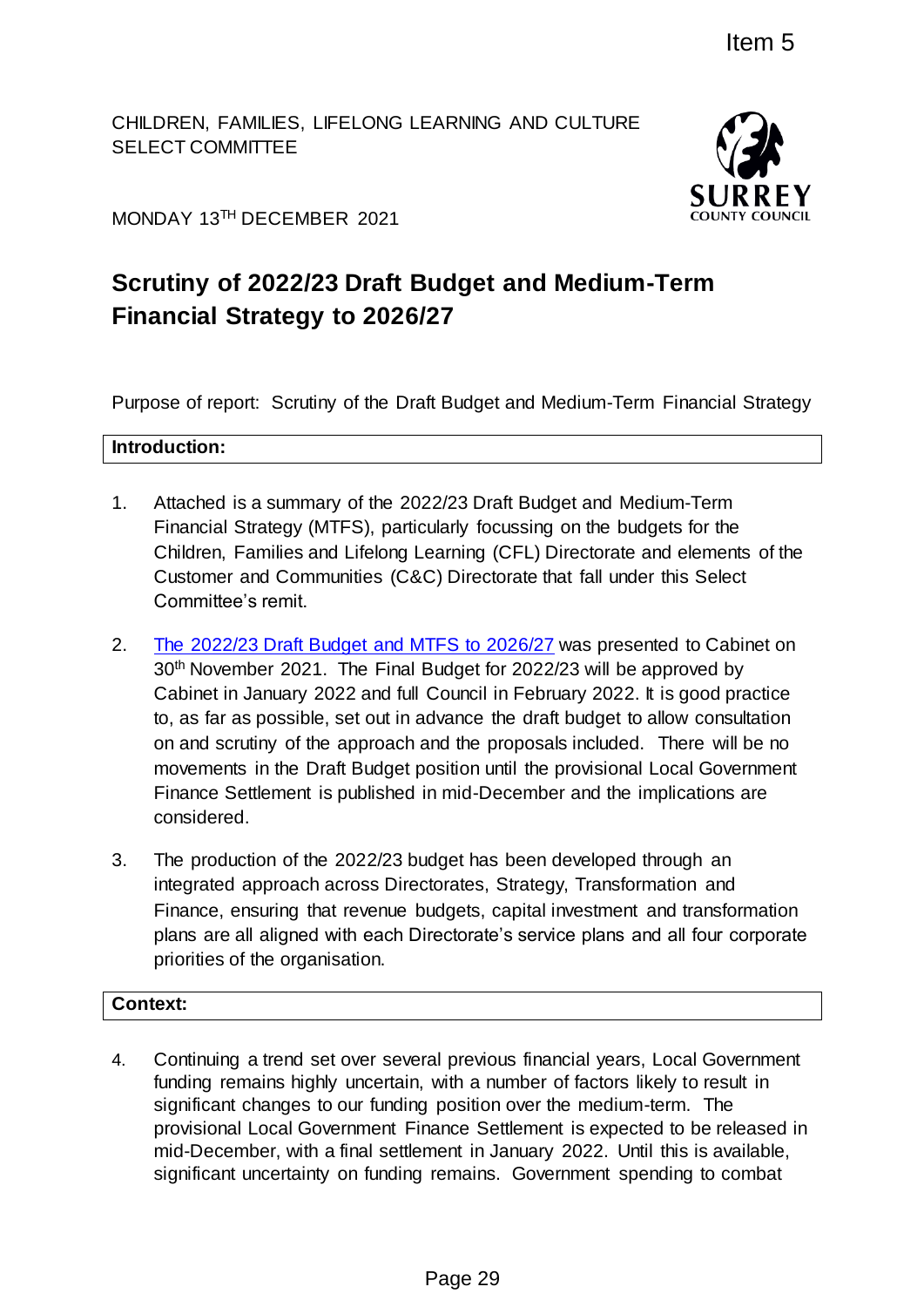CHILDREN, FAMILIES, LIFELONG LEARNING AND CULTURE SELECT COMMITTEE



MONDAY 13<sup>TH</sup> DECEMBER 2021

# **Scrutiny of 2022/23 Draft Budget and Medium-Term Financial Strategy to 2026/27**

Purpose of report: Scrutiny of the Draft Budget and Medium-Term Financial Strategy

## **Introduction:**

- 1. Attached is a summary of the 2022/23 Draft Budget and Medium-Term Financial Strategy (MTFS), particularly focussing on the budgets for the Children, Families and Lifelong Learning (CFL) Directorate and elements of the Customer and Communities (C&C) Directorate that fall under this Select Committee's remit.
- 2. The 2022/23 [Draft Budget and MTFS to 2026/27](https://mycouncil.surreycc.gov.uk/documents/s83007/22-23%20Draft%20Budget%20Report%20and%20MTFS.pdf) was presented to Cabinet on 30<sup>th</sup> November 2021. The Final Budget for 2022/23 will be approved by Cabinet in January 2022 and full Council in February 2022. It is good practice to, as far as possible, set out in advance the draft budget to allow consultation on and scrutiny of the approach and the proposals included. There will be no movements in the Draft Budget position until the provisional Local Government Finance Settlement is published in mid-December and the implications are considered. Item 5<br>
EARNING AND CULTURE<br>
SURRE<br>
SURRE<br>
SURRE<br>
THE Budget and Medium-Term<br>
27<br>
The Budget and Medium-Term<br>
27<br>
22/23 Draft Budget and Medium-Term<br>
27<br>
22/23 Draft Budget and Medium-Term<br>
22/23 Draft Budget and Medium-Te
- 3. The production of the 2022/23 budget has been developed through an integrated approach across Directorates, Strategy, Transformation and Finance, ensuring that revenue budgets, capital investment and transformation plans are all aligned with each Directorate's service plans and all four corporate priorities of the organisation.

## **Context:**

4. Continuing a trend set over several previous financial years, Local Government funding remains highly uncertain, with a number of factors likely to result in significant changes to our funding position over the medium-term. The provisional Local Government Finance Settlement is expected to be released in mid-December, with a final settlement in January 2022. Until this is available, significant uncertainty on funding remains. Government spending to combat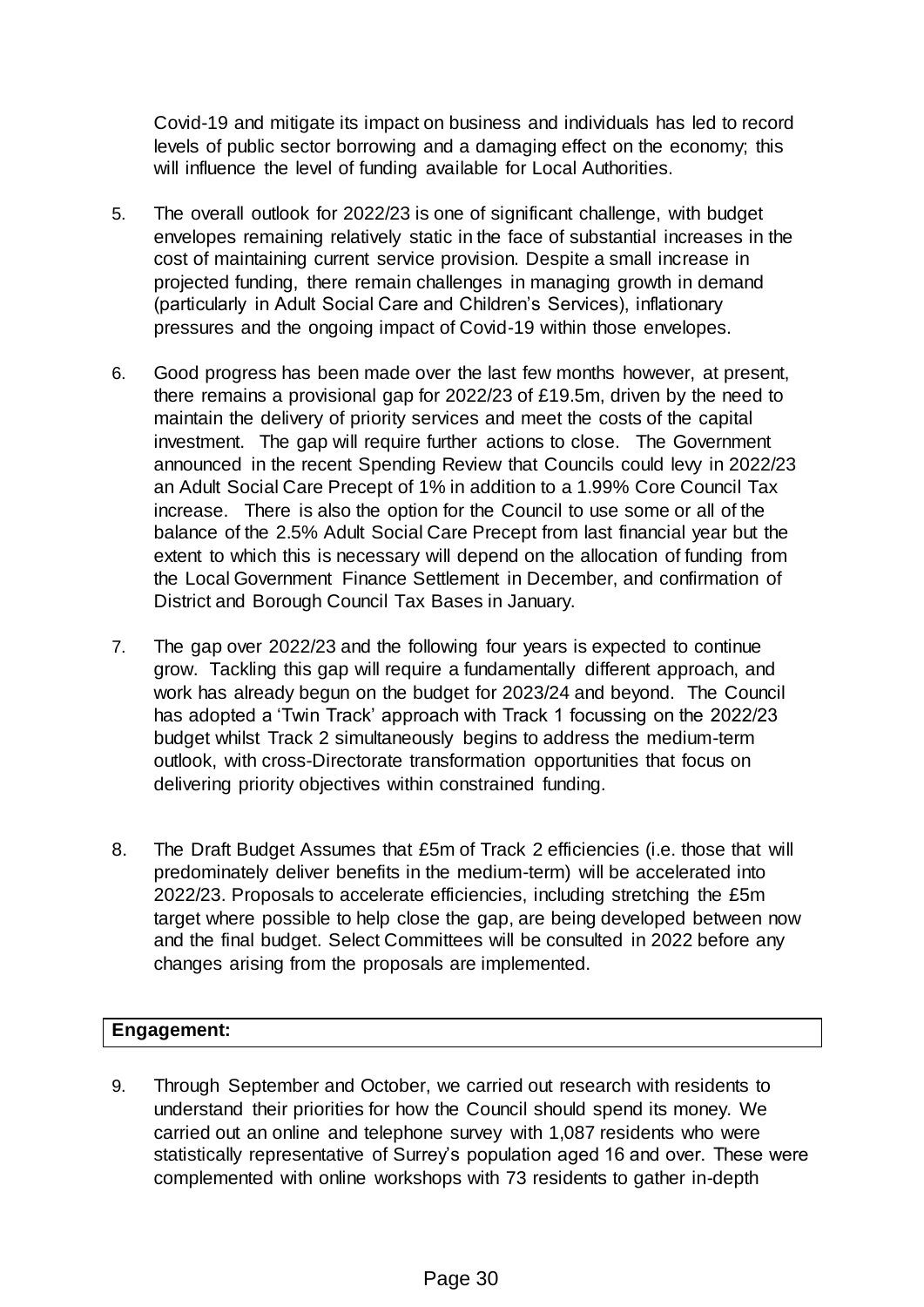Covid-19 and mitigate its impact on business and individuals has led to record levels of public sector borrowing and a damaging effect on the economy; this will influence the level of funding available for Local Authorities.

- 5. The overall outlook for 2022/23 is one of significant challenge, with budget envelopes remaining relatively static in the face of substantial increases in the cost of maintaining current service provision. Despite a small increase in projected funding, there remain challenges in managing growth in demand (particularly in Adult Social Care and Children's Services), inflationary pressures and the ongoing impact of Covid-19 within those envelopes.
- 6. Good progress has been made over the last few months however, at present, there remains a provisional gap for 2022/23 of £19.5m, driven by the need to maintain the delivery of priority services and meet the costs of the capital investment. The gap will require further actions to close. The Government announced in the recent Spending Review that Councils could levy in 2022/23 an Adult Social Care Precept of 1% in addition to a 1.99% Core Council Tax increase. There is also the option for the Council to use some or all of the balance of the 2.5% Adult Social Care Precept from last financial year but the extent to which this is necessary will depend on the allocation of funding from the Local Government Finance Settlement in December, and confirmation of District and Borough Council Tax Bases in January.
- 7. The gap over 2022/23 and the following four years is expected to continue grow. Tackling this gap will require a fundamentally different approach, and work has already begun on the budget for 2023/24 and beyond. The Council has adopted a 'Twin Track' approach with Track 1 focussing on the 2022/23 budget whilst Track 2 simultaneously begins to address the medium-term outlook, with cross-Directorate transformation opportunities that focus on delivering priority objectives within constrained funding.
- 8. The Draft Budget Assumes that £5m of Track 2 efficiencies (i.e. those that will predominately deliver benefits in the medium-term) will be accelerated into 2022/23. Proposals to accelerate efficiencies, including stretching the £5m target where possible to help close the gap, are being developed between now and the final budget. Select Committees will be consulted in 2022 before any changes arising from the proposals are implemented.

## **Engagement:**

9. Through September and October, we carried out research with residents to understand their priorities for how the Council should spend its money. We carried out an online and telephone survey with 1,087 residents who were statistically representative of Surrey's population aged 16 and over. These were complemented with online workshops with 73 residents to gather in-depth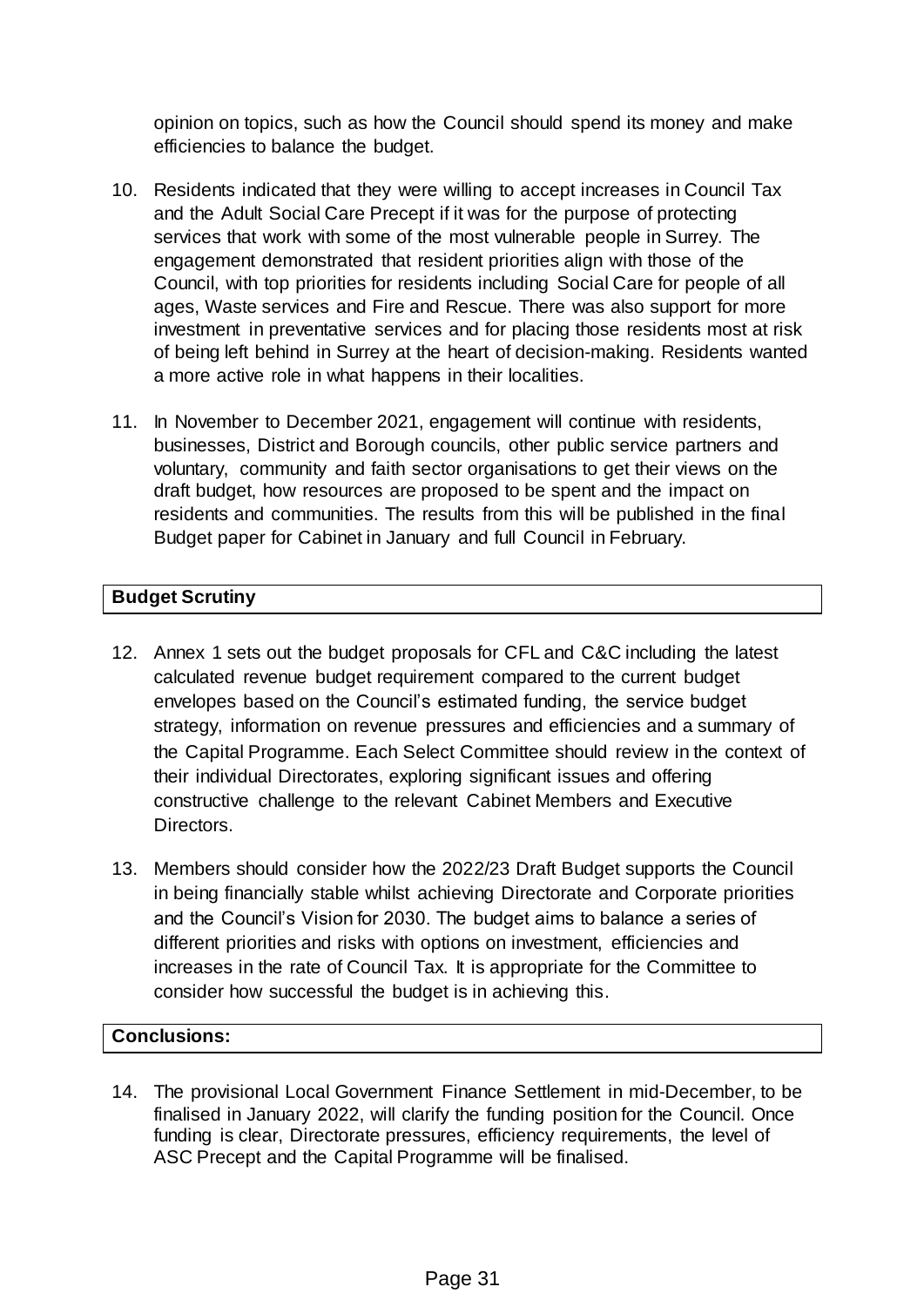opinion on topics, such as how the Council should spend its money and make efficiencies to balance the budget.

- 10. Residents indicated that they were willing to accept increases in Council Tax and the Adult Social Care Precept if it was for the purpose of protecting services that work with some of the most vulnerable people in Surrey. The engagement demonstrated that resident priorities align with those of the Council, with top priorities for residents including Social Care for people of all ages, Waste services and Fire and Rescue. There was also support for more investment in preventative services and for placing those residents most at risk of being left behind in Surrey at the heart of decision-making. Residents wanted a more active role in what happens in their localities.
- 11. In November to December 2021, engagement will continue with residents, businesses, District and Borough councils, other public service partners and voluntary, community and faith sector organisations to get their views on the draft budget, how resources are proposed to be spent and the impact on residents and communities. The results from this will be published in the final Budget paper for Cabinet in January and full Council in February.

## **Budget Scrutiny**

- 12. Annex 1 sets out the budget proposals for CFL and C&C including the latest calculated revenue budget requirement compared to the current budget envelopes based on the Council's estimated funding, the service budget strategy, information on revenue pressures and efficiencies and a summary of the Capital Programme. Each Select Committee should review in the context of their individual Directorates, exploring significant issues and offering constructive challenge to the relevant Cabinet Members and Executive Directors.
- 13. Members should consider how the 2022/23 Draft Budget supports the Council in being financially stable whilst achieving Directorate and Corporate priorities and the Council's Vision for 2030. The budget aims to balance a series of different priorities and risks with options on investment, efficiencies and increases in the rate of Council Tax. It is appropriate for the Committee to consider how successful the budget is in achieving this.

### **Conclusions:**

14. The provisional Local Government Finance Settlement in mid-December, to be finalised in January 2022, will clarify the funding position for the Council. Once funding is clear, Directorate pressures, efficiency requirements, the level of ASC Precept and the Capital Programme will be finalised.